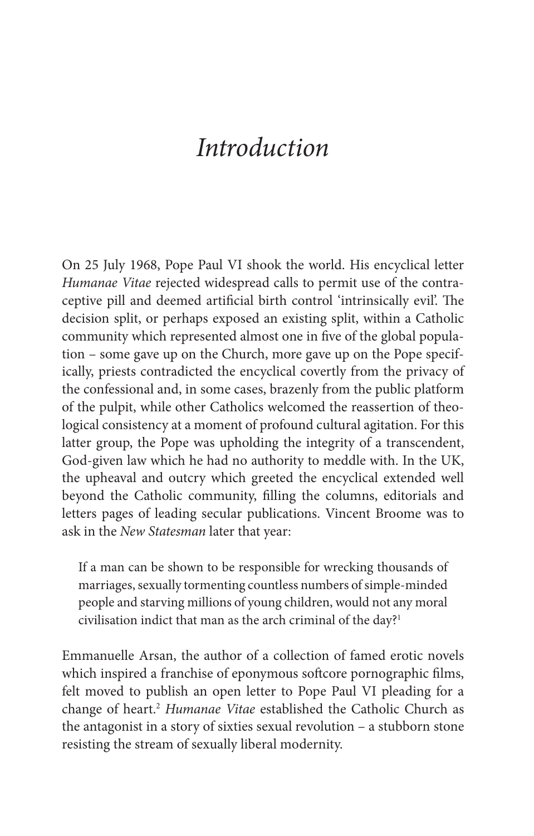# *Introduction*

 On 25 July 1968, Pope Paul VI shook the world. His encyclical letter *Humanae Vitae* rejected widespread calls to permit use of the contraceptive pill and deemed artificial birth control 'intrinsically evil'. The decision split, or perhaps exposed an existing split, within a Catholic community which represented almost one in five of the global population – some gave up on the Church, more gave up on the Pope specifically, priests contradicted the encyclical covertly from the privacy of the confessional and, in some cases, brazenly from the public platform of the pulpit, while other Catholics welcomed the reassertion of theological consistency at a moment of profound cultural agitation. For this latter group, the Pope was upholding the integrity of a transcendent, God- given law which he had no authority to meddle with. In the UK, the upheaval and outcry which greeted the encyclical extended well beyond the Catholic community, filling the columns, editorials and letters pages of leading secular publications. Vincent Broome was to ask in the *New Statesman* later that year:

 If a man can be shown to be responsible for wrecking thousands of marriages, sexually tormenting countless numbers of simple- minded people and starving millions of young children, would not any moral civilisation indict that man as the arch criminal of the day?<sup>1</sup>

 Emmanuelle Arsan, the author of a collection of famed erotic novels which inspired a franchise of eponymous softcore pornographic films, felt moved to publish an open letter to Pope Paul VI pleading for a change of heart.<sup>2</sup> Humanae Vitae established the Catholic Church as the antagonist in a story of sixties sexual revolution – a stubborn stone resisting the stream of sexually liberal modernity.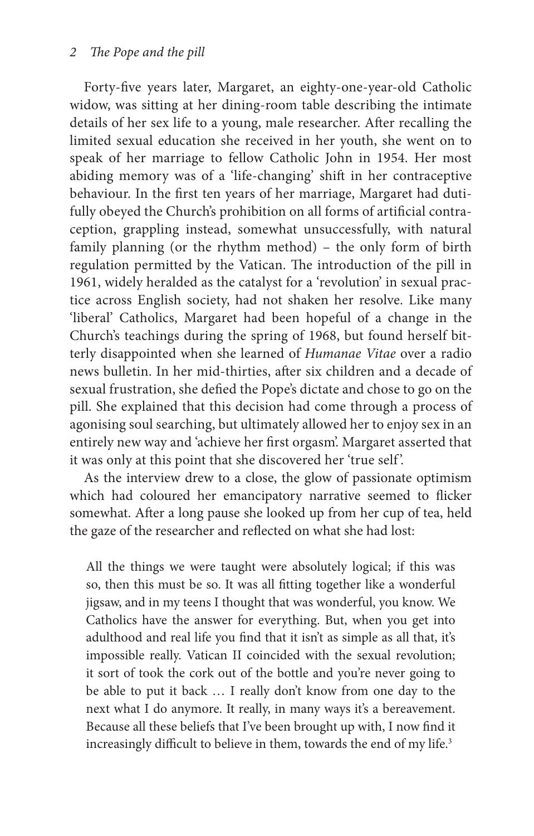#### 2 The Pope and the pill

Forty-five years later, Margaret, an eighty-one-year-old Catholic widow, was sitting at her dining-room table describing the intimate details of her sex life to a young, male researcher. After recalling the limited sexual education she received in her youth, she went on to speak of her marriage to fellow Catholic John in 1954. Her most abiding memory was of a 'life- changing' shift in her contraceptive behaviour. In the first ten years of her marriage, Margaret had dutifully obeyed the Church's prohibition on all forms of artificial contraception, grappling instead, somewhat unsuccessfully, with natural family planning (or the rhythm method) – the only form of birth regulation permitted by the Vatican. The introduction of the pill in 1961, widely heralded as the catalyst for a 'revolution' in sexual practice across English society, had not shaken her resolve. Like many 'liberal' Catholics, Margaret had been hopeful of a change in the Church's teachings during the spring of 1968, but found herself bitterly disappointed when she learned of *Humanae Vitae* over a radio news bulletin. In her mid-thirties, after six children and a decade of sexual frustration, she defied the Pope's dictate and chose to go on the pill. She explained that this decision had come through a process of agonising soul searching, but ultimately allowed her to enjoy sex in an entirely new way and 'achieve her first orgasm'. Margaret asserted that it was only at this point that she discovered her 'true self '.

 As the interview drew to a close, the glow of passionate optimism which had coloured her emancipatory narrative seemed to flicker somewhat. After a long pause she looked up from her cup of tea, held the gaze of the researcher and reflected on what she had lost:

 All the things we were taught were absolutely logical; if this was so, then this must be so. It was all fitting together like a wonderful jigsaw, and in my teens I thought that was wonderful, you know. We Catholics have the answer for everything. But, when you get into adulthood and real life you find that it isn't as simple as all that, it's impossible really. Vatican II coincided with the sexual revolution; it sort of took the cork out of the bottle and you're never going to be able to put it back … I really don't know from one day to the next what I do anymore. It really, in many ways it's a bereavement. Because all these beliefs that I've been brought up with, I now find it increasingly difficult to believe in them, towards the end of my life.<sup>3</sup>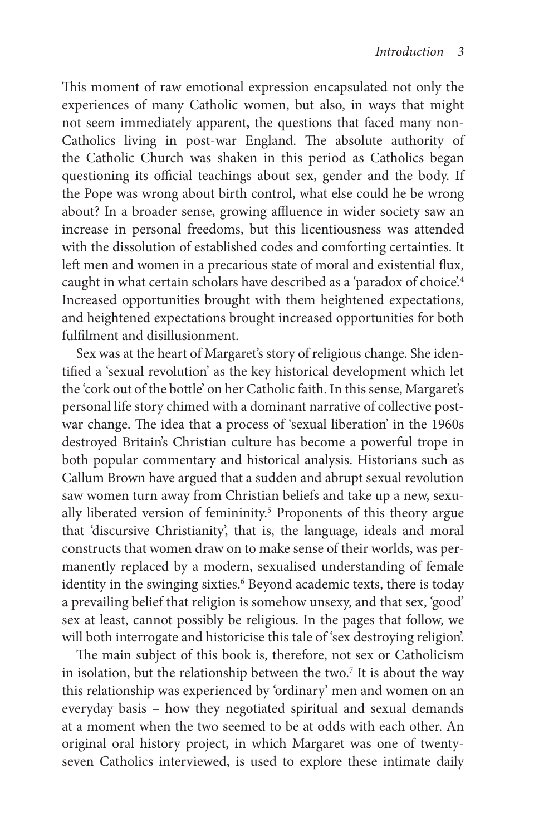This moment of raw emotional expression encapsulated not only the experiences of many Catholic women, but also, in ways that might not seem immediately apparent, the questions that faced many non-Catholics living in post-war England. The absolute authority of the Catholic Church was shaken in this period as Catholics began questioning its official teachings about sex, gender and the body. If the Pope was wrong about birth control, what else could he be wrong about? In a broader sense, growing affluence in wider society saw an increase in personal freedoms, but this licentiousness was attended with the dissolution of established codes and comforting certainties. It left men and women in a precarious state of moral and existential flux, caught in what certain scholars have described as a 'paradox of choice'.<sup>4</sup> Increased opportunities brought with them heightened expectations, and heightened expectations brought increased opportunities for both fulfilment and disillusionment

 Sex was at the heart of Margaret's story of religious change. She identified a 'sexual revolution' as the key historical development which let the 'cork out of the bottle' on her Catholic faith. In this sense, Margaret's personal life story chimed with a dominant narrative of collective postwar change. The idea that a process of 'sexual liberation' in the 1960s destroyed Britain's Christian culture has become a powerful trope in both popular commentary and historical analysis. Historians such as Callum Brown have argued that a sudden and abrupt sexual revolution saw women turn away from Christian beliefs and take up a new, sexually liberated version of femininity.<sup>5</sup> Proponents of this theory argue that 'discursive Christianity', that is, the language, ideals and moral constructs that women draw on to make sense of their worlds, was permanently replaced by a modern, sexualised understanding of female identity in the swinging sixties.<sup>6</sup> Beyond academic texts, there is today a prevailing belief that religion is somehow unsexy, and that sex, 'good' sex at least, cannot possibly be religious. In the pages that follow, we will both interrogate and historicise this tale of 'sex destroying religion'.

The main subject of this book is, therefore, not sex or Catholicism in isolation, but the relationship between the two.<sup>7</sup> It is about the way this relationship was experienced by 'ordinary' men and women on an everyday basis – how they negotiated spiritual and sexual demands at a moment when the two seemed to be at odds with each other. An original oral history project, in which Margaret was one of twentyseven Catholics interviewed, is used to explore these intimate daily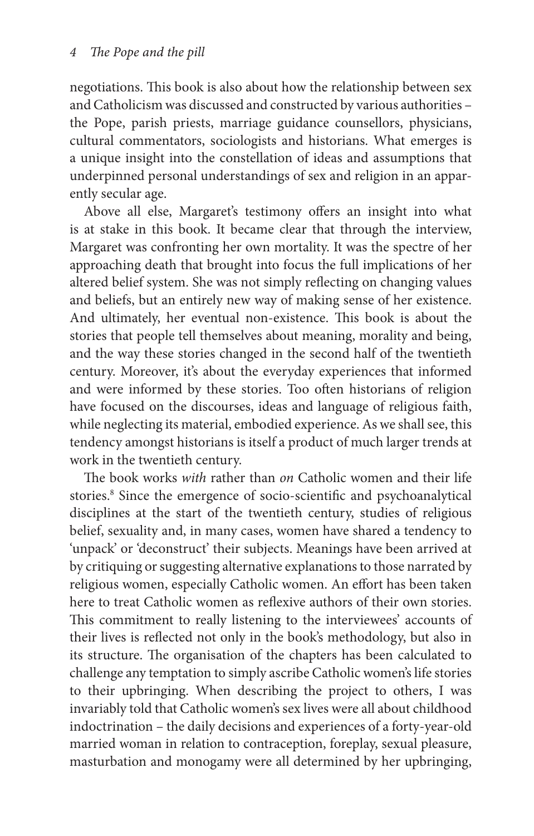negotiations. This book is also about how the relationship between sex and Catholicism was discussed and constructed by various authorities – the Pope, parish priests, marriage guidance counsellors, physicians, cultural commentators, sociologists and historians. What emerges is a unique insight into the constellation of ideas and assumptions that underpinned personal understandings of sex and religion in an apparently secular age.

Above all else, Margaret's testimony offers an insight into what is at stake in this book. It became clear that through the interview, Margaret was confronting her own mortality. It was the spectre of her approaching death that brought into focus the full implications of her altered belief system. She was not simply reflecting on changing values and beliefs, but an entirely new way of making sense of her existence. And ultimately, her eventual non-existence. This book is about the stories that people tell themselves about meaning, morality and being, and the way these stories changed in the second half of the twentieth century. Moreover, it's about the everyday experiences that informed and were informed by these stories. Too often historians of religion have focused on the discourses, ideas and language of religious faith, while neglecting its material, embodied experience. As we shall see, this tendency amongst historians is itself a product of much larger trends at work in the twentieth century.

The book works *with* rather than on Catholic women and their life stories.<sup>8</sup> Since the emergence of socio-scientific and psychoanalytical disciplines at the start of the twentieth century, studies of religious belief, sexuality and, in many cases, women have shared a tendency to 'unpack' or 'deconstruct' their subjects. Meanings have been arrived at by critiquing or suggesting alternative explanations to those narrated by religious women, especially Catholic women. An effort has been taken here to treat Catholic women as reflexive authors of their own stories. This commitment to really listening to the interviewees' accounts of their lives is reflected not only in the book's methodology, but also in its structure. The organisation of the chapters has been calculated to challenge any temptation to simply ascribe Catholic women's life stories to their upbringing. When describing the project to others, I was invariably told that Catholic women's sex lives were all about childhood indoctrination – the daily decisions and experiences of a forty- year- old married woman in relation to contraception, foreplay, sexual pleasure, masturbation and monogamy were all determined by her upbringing,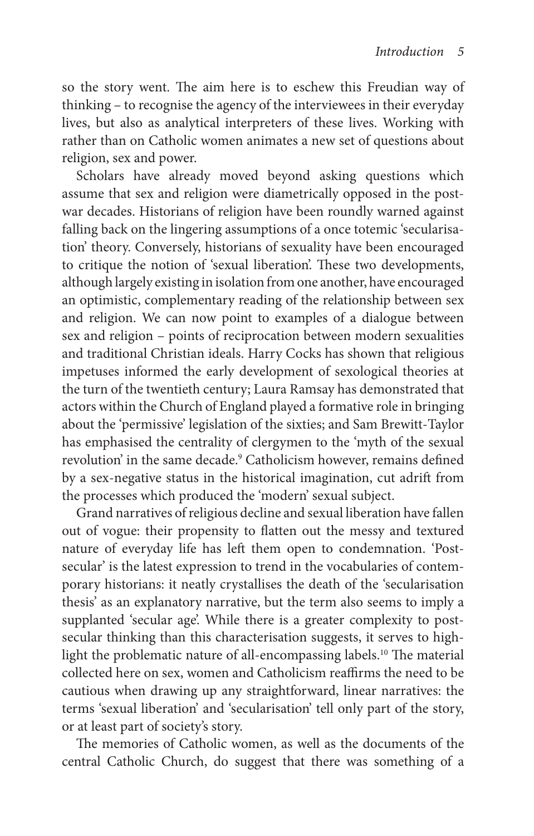so the story went. The aim here is to eschew this Freudian way of thinking – to recognise the agency of the interviewees in their everyday lives, but also as analytical interpreters of these lives. Working with rather than on Catholic women animates a new set of questions about religion, sex and power.

 Scholars have already moved beyond asking questions which assume that sex and religion were diametrically opposed in the postwar decades. Historians of religion have been roundly warned against falling back on the lingering assumptions of a once totemic 'secularisation' theory. Conversely, historians of sexuality have been encouraged to critique the notion of 'sexual liberation'. These two developments, although largely existing in isolation from one another, have encouraged an optimistic, complementary reading of the relationship between sex and religion. We can now point to examples of a dialogue between sex and religion – points of reciprocation between modern sexualities and traditional Christian ideals. Harry Cocks has shown that religious impetuses informed the early development of sexological theories at the turn of the twentieth century; Laura Ramsay has demonstrated that actors within the Church of England played a formative role in bringing about the 'permissive' legislation of the sixties; and Sam Brewitt- Taylor has emphasised the centrality of clergymen to the 'myth of the sexual revolution' in the same decade.<sup>9</sup> Catholicism however, remains defined by a sex- negative status in the historical imagination, cut adrift from the processes which produced the 'modern' sexual subject.

 Grand narratives of religious decline and sexual liberation have fallen out of vogue: their propensity to flatten out the messy and textured nature of everyday life has left them open to condemnation. 'Postsecular' is the latest expression to trend in the vocabularies of contemporary historians: it neatly crystallises the death of the 'secularisation thesis' as an explanatory narrative, but the term also seems to imply a supplanted 'secular age'. While there is a greater complexity to postsecular thinking than this characterisation suggests, it serves to highlight the problematic nature of all-encompassing labels.<sup>10</sup> The material collected here on sex, women and Catholicism reaffirms the need to be cautious when drawing up any straightforward, linear narratives: the terms 'sexual liberation' and 'secularisation' tell only part of the story, or at least part of society's story.

The memories of Catholic women, as well as the documents of the central Catholic Church, do suggest that there was something of a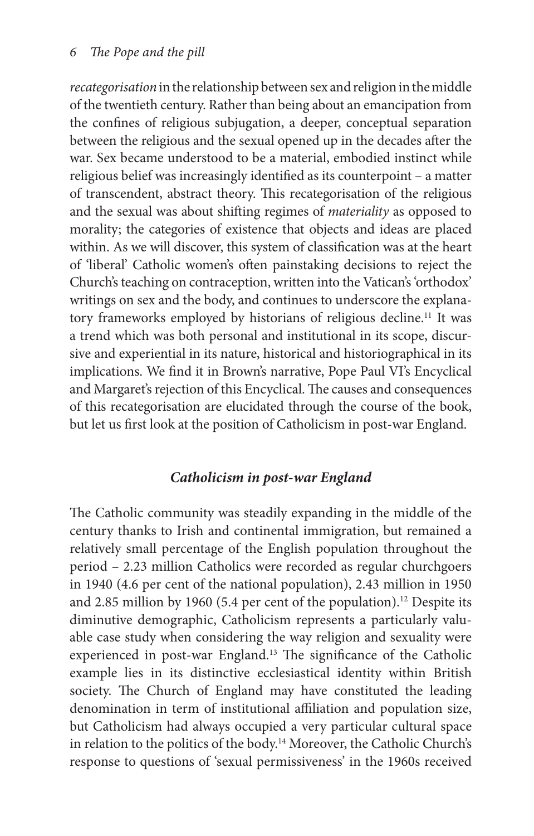*recategorisation* in the relationship between sex and religion in the middle of the twentieth century. Rather than being about an emancipation from the confines of religious subjugation, a deeper, conceptual separation between the religious and the sexual opened up in the decades after the war. Sex became understood to be a material, embodied instinct while religious belief was increasingly identified as its counterpoint – a matter of transcendent, abstract theory. This recategorisation of the religious and the sexual was about shifting regimes of *materiality* as opposed to morality; the categories of existence that objects and ideas are placed within. As we will discover, this system of classification was at the heart of 'liberal' Catholic women's often painstaking decisions to reject the Church's teaching on contraception, written into the Vatican's 'orthodox' writings on sex and the body, and continues to underscore the explanatory frameworks employed by historians of religious decline.<sup>11</sup> It was a trend which was both personal and institutional in its scope, discursive and experiential in its nature, historical and historiographical in its implications. We find it in Brown's narrative, Pope Paul VI's Encyclical and Margaret's rejection of this Encyclical. The causes and consequences of this recategorisation are elucidated through the course of the book, but let us first look at the position of Catholicism in post-war England.

## *Catholicism in post- war England*

The Catholic community was steadily expanding in the middle of the century thanks to Irish and continental immigration, but remained a relatively small percentage of the English population throughout the period – 2.23 million Catholics were recorded as regular churchgoers in 1940 (4.6 per cent of the national population), 2.43 million in 1950 and 2.85 million by 1960 (5.4 per cent of the population). 12 Despite its diminutive demographic, Catholicism represents a particularly valuable case study when considering the way religion and sexuality were experienced in post-war England.<sup>13</sup> The significance of the Catholic example lies in its distinctive ecclesiastical identity within British society. The Church of England may have constituted the leading denomination in term of institutional affiliation and population size, but Catholicism had always occupied a very particular cultural space in relation to the politics of the body. 14 Moreover, the Catholic Church's response to questions of 'sexual permissiveness' in the 1960s received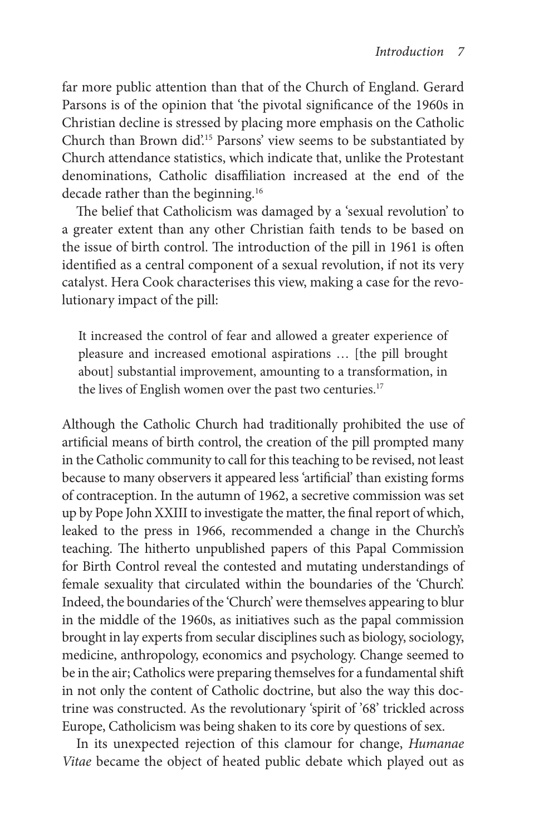far more public attention than that of the Church of England. Gerard Parsons is of the opinion that 'the pivotal significance of the 1960s in Christian decline is stressed by placing more emphasis on the Catholic Church than Brown did'.<sup>15</sup> Parsons' view seems to be substantiated by Church attendance statistics, which indicate that, unlike the Protestant denominations, Catholic disaffiliation increased at the end of the decade rather than the beginning.<sup>16</sup>

The belief that Catholicism was damaged by a 'sexual revolution' to a greater extent than any other Christian faith tends to be based on the issue of birth control. The introduction of the pill in 1961 is often identified as a central component of a sexual revolution, if not its very catalyst. Hera Cook characterises this view, making a case for the revolutionary impact of the pill:

 It increased the control of fear and allowed a greater experience of pleasure and increased emotional aspirations … [the pill brought about] substantial improvement, amounting to a transformation, in the lives of English women over the past two centuries.<sup>17</sup>

 Although the Catholic Church had traditionally prohibited the use of artificial means of birth control, the creation of the pill prompted many in the Catholic community to call for this teaching to be revised, not least because to many observers it appeared less 'artificial' than existing forms of contraception. In the autumn of 1962, a secretive commission was set up by Pope John XXIII to investigate the matter, the final report of which, leaked to the press in 1966, recommended a change in the Church's teaching. The hitherto unpublished papers of this Papal Commission for Birth Control reveal the contested and mutating understandings of female sexuality that circulated within the boundaries of the 'Church'. Indeed, the boundaries of the 'Church' were themselves appearing to blur in the middle of the 1960s, as initiatives such as the papal commission brought in lay experts from secular disciplines such as biology, sociology, medicine, anthropology, economics and psychology. Change seemed to be in the air; Catholics were preparing themselves for a fundamental shift in not only the content of Catholic doctrine, but also the way this doctrine was constructed. As the revolutionary 'spirit of '68' trickled across Europe, Catholicism was being shaken to its core by questions of sex.

 In its unexpected rejection of this clamour for change, *Humanae Vitae* became the object of heated public debate which played out as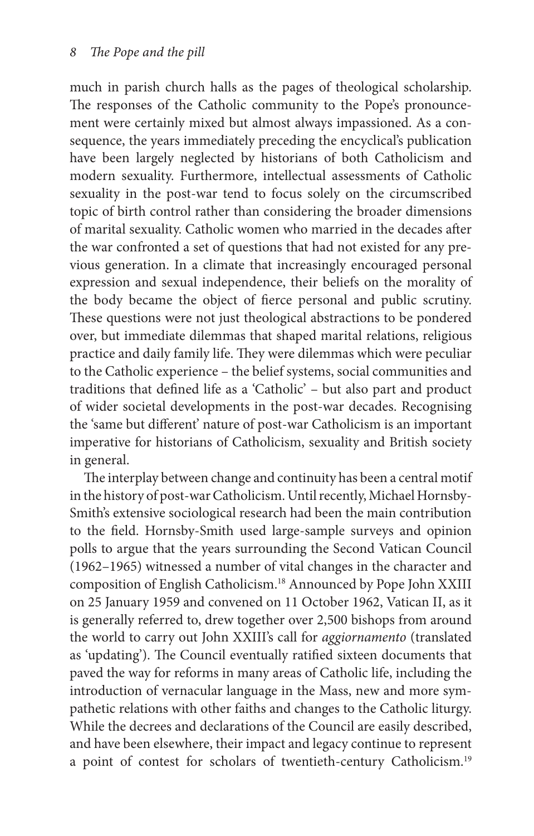much in parish church halls as the pages of theological scholarship. The responses of the Catholic community to the Pope's pronouncement were certainly mixed but almost always impassioned. As a consequence, the years immediately preceding the encyclical's publication have been largely neglected by historians of both Catholicism and modern sexuality. Furthermore, intellectual assessments of Catholic sexuality in the post-war tend to focus solely on the circumscribed topic of birth control rather than considering the broader dimensions of marital sexuality. Catholic women who married in the decades after the war confronted a set of questions that had not existed for any previous generation. In a climate that increasingly encouraged personal expression and sexual independence, their beliefs on the morality of the body became the object of fierce personal and public scrutiny. These questions were not just theological abstractions to be pondered over, but immediate dilemmas that shaped marital relations, religious practice and daily family life. They were dilemmas which were peculiar to the Catholic experience – the belief systems, social communities and traditions that defined life as a 'Catholic' - but also part and product of wider societal developments in the post- war decades. Recognising the 'same but different' nature of post-war Catholicism is an important imperative for historians of Catholicism, sexuality and British society in general.

The interplay between change and continuity has been a central motif in the history of post- war Catholicism. Until recently, Michael Hornsby-Smith's extensive sociological research had been the main contribution to the field. Hornsby-Smith used large-sample surveys and opinion polls to argue that the years surrounding the Second Vatican Council (1962– 1965) witnessed a number of vital changes in the character and composition of English Catholicism. 18 Announced by Pope John XXIII on 25 January 1959 and convened on 11 October 1962, Vatican II, as it is generally referred to, drew together over 2,500 bishops from around the world to carry out John XXIII's call for *aggiornamento* (translated as 'updating'). The Council eventually ratified sixteen documents that paved the way for reforms in many areas of Catholic life, including the introduction of vernacular language in the Mass, new and more sympathetic relations with other faiths and changes to the Catholic liturgy. While the decrees and declarations of the Council are easily described, and have been elsewhere, their impact and legacy continue to represent a point of contest for scholars of twentieth-century Catholicism.<sup>19</sup>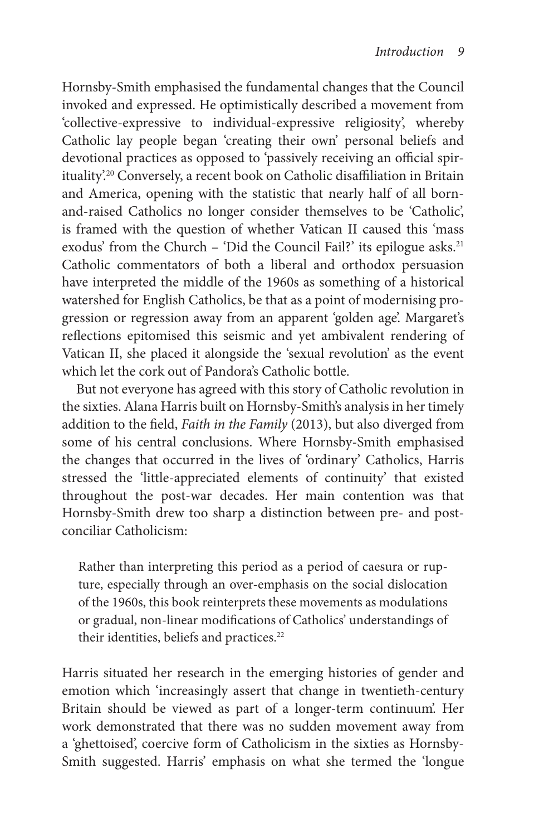Hornsby- Smith emphasised the fundamental changes that the Council invoked and expressed. He optimistically described a movement from 'collective- expressive to individual- expressive religiosity', whereby Catholic lay people began 'creating their own' personal beliefs and devotional practices as opposed to 'passively receiving an official spirituality'.<sup>20</sup> Conversely, a recent book on Catholic disaffiliation in Britain and America, opening with the statistic that nearly half of all bornand- raised Catholics no longer consider themselves to be 'Catholic', is framed with the question of whether Vatican II caused this 'mass exodus' from the Church – 'Did the Council Fail?' its epilogue asks.<sup>21</sup> Catholic commentators of both a liberal and orthodox persuasion have interpreted the middle of the 1960s as something of a historical watershed for English Catholics, be that as a point of modernising progression or regression away from an apparent 'golden age'. Margaret's reflections epitomised this seismic and yet ambivalent rendering of Vatican II, she placed it alongside the 'sexual revolution' as the event which let the cork out of Pandora's Catholic bottle.

 But not everyone has agreed with this story of Catholic revolution in the sixties. Alana Harris built on Hornsby- Smith's analysis in her timely addition to the field, *Faith in the Family* (2013), but also diverged from some of his central conclusions. Where Hornsby-Smith emphasised the changes that occurred in the lives of 'ordinary' Catholics, Harris stressed the 'little- appreciated elements of continuity' that existed throughout the post-war decades. Her main contention was that Hornsby- Smith drew too sharp a distinction between pre- and postconciliar Catholicism:

 Rather than interpreting this period as a period of caesura or rupture, especially through an over-emphasis on the social dislocation of the 1960s, this book reinterprets these movements as modulations or gradual, non-linear modifications of Catholics' understandings of their identities, beliefs and practices.<sup>22</sup>

 Harris situated her research in the emerging histories of gender and emotion which 'increasingly assert that change in twentieth-century Britain should be viewed as part of a longer- term continuum'. Her work demonstrated that there was no sudden movement away from a 'ghettoised', coercive form of Catholicism in the sixties as Hornsby-Smith suggested. Harris' emphasis on what she termed the 'longue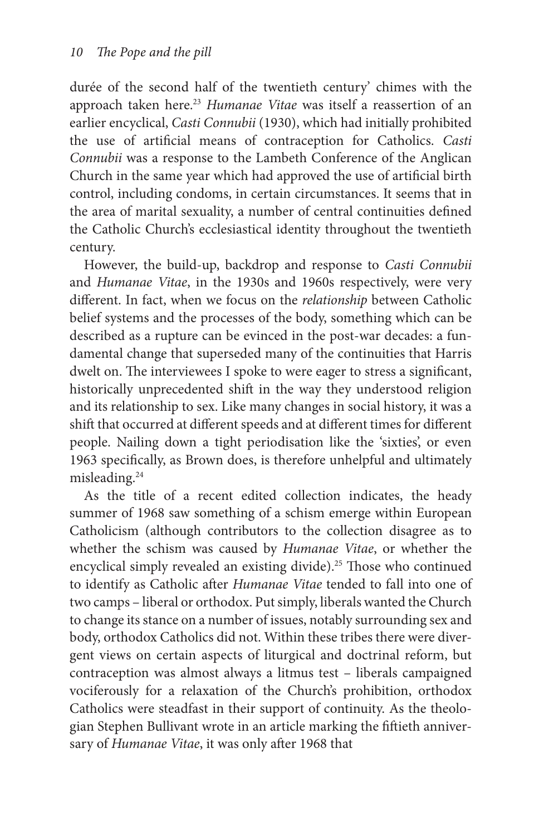durée of the second half of the twentieth century' chimes with the approach taken here.<sup>23</sup> *Humanae Vitae* was itself a reassertion of an earlier encyclical, *Casti Connubii* (1930), which had initially prohibited the use of artificial means of contraception for Catholics. *Casti Connubii* was a response to the Lambeth Conference of the Anglican Church in the same year which had approved the use of artificial birth control, including condoms, in certain circumstances. It seems that in the area of marital sexuality, a number of central continuities defined the Catholic Church's ecclesiastical identity throughout the twentieth century.

 However, the build- up, backdrop and response to *Casti Connubii* and *Humanae Vitae* , in the 1930s and 1960s respectively, were very different. In fact, when we focus on the *relationship* between Catholic belief systems and the processes of the body, something which can be described as a rupture can be evinced in the post-war decades: a fundamental change that superseded many of the continuities that Harris dwelt on. The interviewees I spoke to were eager to stress a significant, historically unprecedented shift in the way they understood religion and its relationship to sex. Like many changes in social history, it was a shift that occurred at different speeds and at different times for different people. Nailing down a tight periodisation like the 'sixties', or even 1963 specifically, as Brown does, is therefore unhelpful and ultimately misleading. 24

 As the title of a recent edited collection indicates, the heady summer of 1968 saw something of a schism emerge within European Catholicism (although contributors to the collection disagree as to whether the schism was caused by *Humanae Vitae*, or whether the encyclical simply revealed an existing divide).<sup>25</sup> Those who continued to identify as Catholic after *Humanae Vitae* tended to fall into one of two camps – liberal or orthodox. Put simply, liberals wanted the Church to change its stance on a number of issues, notably surrounding sex and body, orthodox Catholics did not. Within these tribes there were divergent views on certain aspects of liturgical and doctrinal reform, but contraception was almost always a litmus test – liberals campaigned vociferously for a relaxation of the Church's prohibition, orthodox Catholics were steadfast in their support of continuity. As the theologian Stephen Bullivant wrote in an article marking the fiftieth anniversary of *Humanae Vitae*, it was only after 1968 that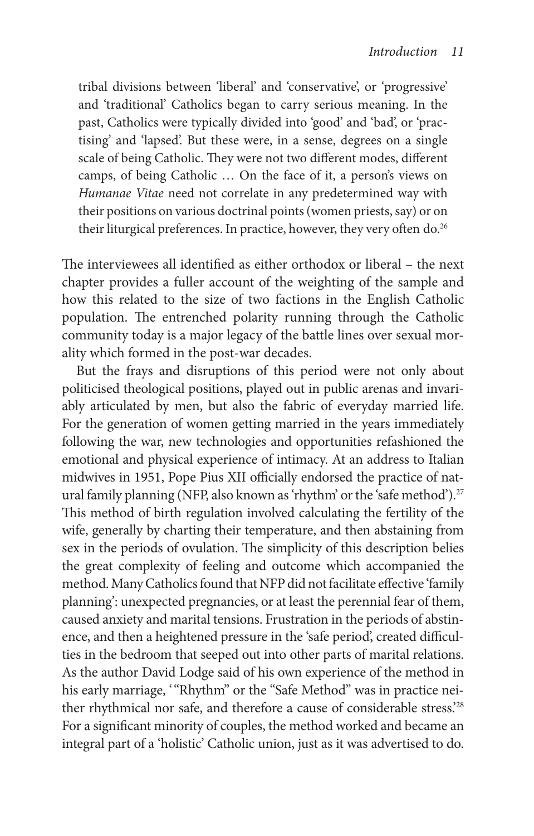tribal divisions between 'liberal' and 'conservative', or 'progressive' and 'traditional' Catholics began to carry serious meaning. In the past, Catholics were typically divided into 'good' and 'bad', or 'practising' and 'lapsed'. But these were, in a sense, degrees on a single scale of being Catholic. They were not two different modes, different camps, of being Catholic … On the face of it, a person's views on *Humanae Vitae* need not correlate in any predetermined way with their positions on various doctrinal points (women priests, say) or on their liturgical preferences. In practice, however, they very often do.<sup>26</sup>

The interviewees all identified as either orthodox or liberal – the next chapter provides a fuller account of the weighting of the sample and how this related to the size of two factions in the English Catholic population. The entrenched polarity running through the Catholic community today is a major legacy of the battle lines over sexual morality which formed in the post-war decades.

 But the frays and disruptions of this period were not only about politicised theological positions, played out in public arenas and invariably articulated by men, but also the fabric of everyday married life. For the generation of women getting married in the years immediately following the war, new technologies and opportunities refashioned the emotional and physical experience of intimacy. At an address to Italian midwives in 1951, Pope Pius XII officially endorsed the practice of natural family planning (NFP, also known as 'rhythm' or the 'safe method').<sup>27</sup> This method of birth regulation involved calculating the fertility of the wife, generally by charting their temperature, and then abstaining from sex in the periods of ovulation. The simplicity of this description belies the great complexity of feeling and outcome which accompanied the method. Many Catholics found that NFP did not facilitate effective 'family planning': unexpected pregnancies, or at least the perennial fear of them, caused anxiety and marital tensions. Frustration in the periods of abstinence, and then a heightened pressure in the 'safe period', created difficulties in the bedroom that seeped out into other parts of marital relations. As the author David Lodge said of his own experience of the method in his early marriage, "Rhythm" or the "Safe Method" was in practice neither rhythmical nor safe, and therefore a cause of considerable stress.<sup>228</sup> For a significant minority of couples, the method worked and became an integral part of a 'holistic' Catholic union, just as it was advertised to do.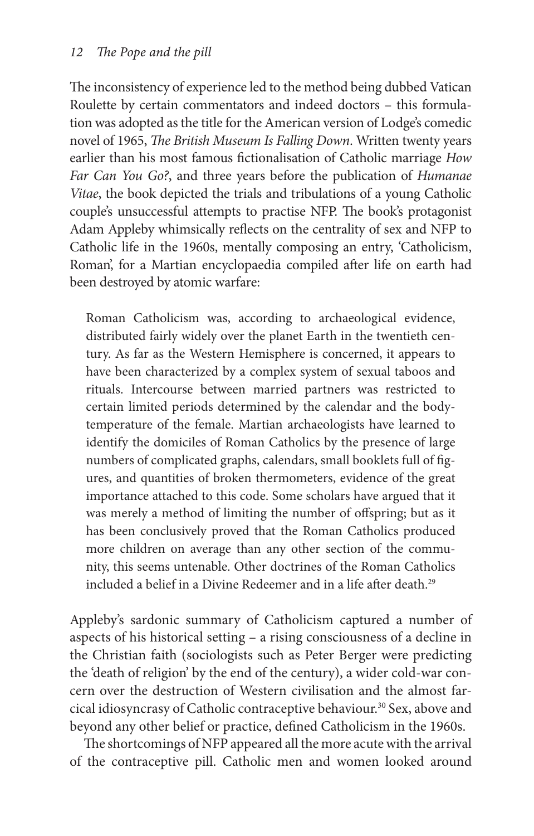The inconsistency of experience led to the method being dubbed Vatican Roulette by certain commentators and indeed doctors – this formulation was adopted as the title for the American version of Lodge's comedic novel of 1965, *The British Museum Is Falling Down*. Written twenty years earlier than his most famous fictionalisation of Catholic marriage *How Far Can You Go?* , and three years before the publication of *Humanae*  Vitae, the book depicted the trials and tribulations of a young Catholic couple's unsuccessful attempts to practise NFP. The book's protagonist Adam Appleby whimsically reflects on the centrality of sex and NFP to Catholic life in the 1960s, mentally composing an entry, 'Catholicism, Roman', for a Martian encyclopaedia compiled after life on earth had been destroyed by atomic warfare:

 Roman Catholicism was, according to archaeological evidence, distributed fairly widely over the planet Earth in the twentieth century. As far as the Western Hemisphere is concerned, it appears to have been characterized by a complex system of sexual taboos and rituals. Intercourse between married partners was restricted to certain limited periods determined by the calendar and the bodytemperature of the female. Martian archaeologists have learned to identify the domiciles of Roman Catholics by the presence of large numbers of complicated graphs, calendars, small booklets full of figures, and quantities of broken thermometers, evidence of the great importance attached to this code. Some scholars have argued that it was merely a method of limiting the number of offspring; but as it has been conclusively proved that the Roman Catholics produced more children on average than any other section of the community, this seems untenable. Other doctrines of the Roman Catholics included a belief in a Divine Redeemer and in a life after death.<sup>29</sup>

 Appleby's sardonic summary of Catholicism captured a number of aspects of his historical setting – a rising consciousness of a decline in the Christian faith (sociologists such as Peter Berger were predicting the 'death of religion' by the end of the century), a wider cold- war concern over the destruction of Western civilisation and the almost farcical idiosyncrasy of Catholic contraceptive behaviour. 30 Sex, above and beyond any other belief or practice, defined Catholicism in the 1960s.

The shortcomings of NFP appeared all the more acute with the arrival of the contraceptive pill. Catholic men and women looked around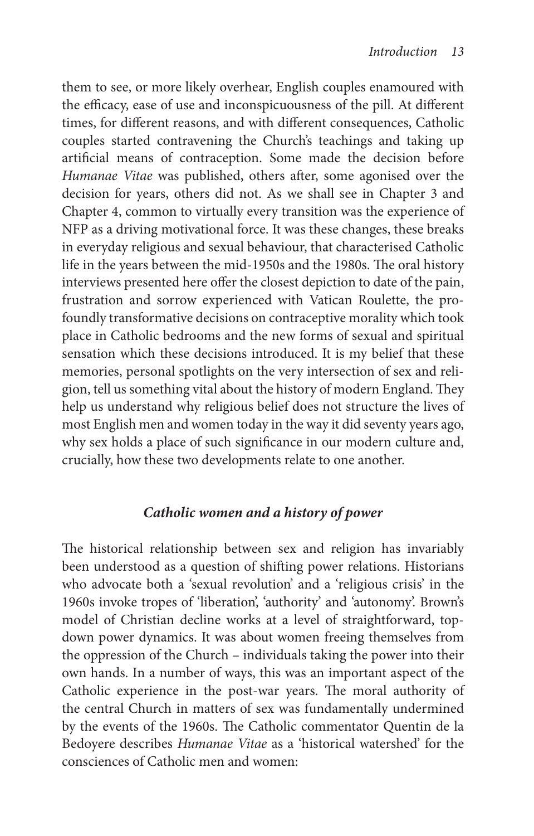them to see, or more likely overhear, English couples enamoured with the efficacy, ease of use and inconspicuousness of the pill. At different times, for different reasons, and with different consequences, Catholic couples started contravening the Church's teachings and taking up artificial means of contraception. Some made the decision before *Humanae Vitae* was published, others after, some agonised over the decision for years, others did not. As we shall see in Chapter 3 and Chapter 4, common to virtually every transition was the experience of NFP as a driving motivational force. It was these changes, these breaks in everyday religious and sexual behaviour, that characterised Catholic life in the years between the mid-1950s and the 1980s. The oral history interviews presented here offer the closest depiction to date of the pain, frustration and sorrow experienced with Vatican Roulette, the profoundly transformative decisions on contraceptive morality which took place in Catholic bedrooms and the new forms of sexual and spiritual sensation which these decisions introduced. It is my belief that these memories, personal spotlights on the very intersection of sex and religion, tell us something vital about the history of modern England. They help us understand why religious belief does not structure the lives of most English men and women today in the way it did seventy years ago, why sex holds a place of such significance in our modern culture and, crucially, how these two developments relate to one another.

## *Catholic women and a history of power*

The historical relationship between sex and religion has invariably been understood as a question of shifting power relations. Historians who advocate both a 'sexual revolution' and a 'religious crisis' in the 1960s invoke tropes of 'liberation', 'authority' and 'autonomy'. Brown's model of Christian decline works at a level of straightforward, topdown power dynamics. It was about women freeing themselves from the oppression of the Church – individuals taking the power into their own hands. In a number of ways, this was an important aspect of the Catholic experience in the post-war years. The moral authority of the central Church in matters of sex was fundamentally undermined by the events of the 1960s. The Catholic commentator Quentin de la Bedoyere describes *Humanae Vitae* as a 'historical watershed' for the consciences of Catholic men and women: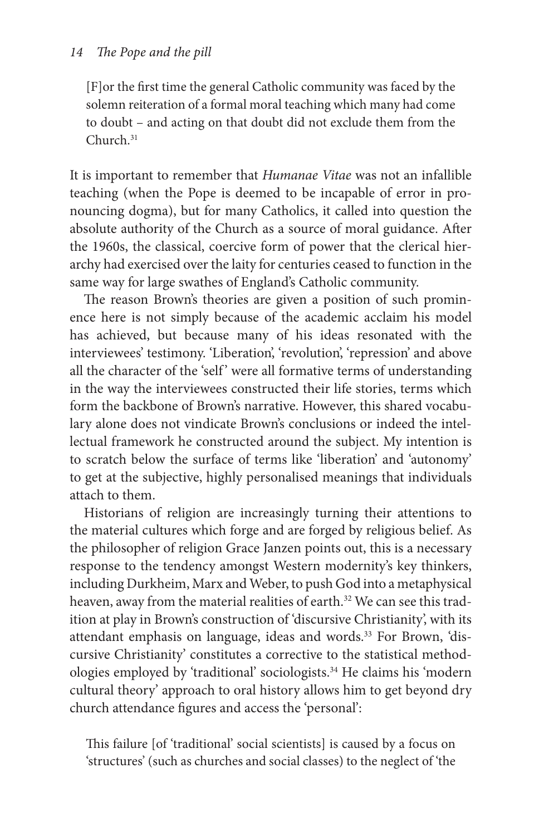[F] or the first time the general Catholic community was faced by the solemn reiteration of a formal moral teaching which many had come to doubt – and acting on that doubt did not exclude them from the Church<sup>31</sup>

 It is important to remember that *Humanae Vitae* was not an infallible teaching (when the Pope is deemed to be incapable of error in pronouncing dogma), but for many Catholics, it called into question the absolute authority of the Church as a source of moral guidance. After the 1960s, the classical, coercive form of power that the clerical hierarchy had exercised over the laity for centuries ceased to function in the same way for large swathes of England's Catholic community.

The reason Brown's theories are given a position of such prominence here is not simply because of the academic acclaim his model has achieved, but because many of his ideas resonated with the interviewees' testimony. 'Liberation', 'revolution', 'repression' and above all the character of the 'self' were all formative terms of understanding in the way the interviewees constructed their life stories, terms which form the backbone of Brown's narrative. However, this shared vocabulary alone does not vindicate Brown's conclusions or indeed the intellectual framework he constructed around the subject. My intention is to scratch below the surface of terms like 'liberation' and 'autonomy' to get at the subjective, highly personalised meanings that individuals attach to them.

 Historians of religion are increasingly turning their attentions to the material cultures which forge and are forged by religious belief. As the philosopher of religion Grace Janzen points out, this is a necessary response to the tendency amongst Western modernity's key thinkers, including Durkheim, Marx and Weber, to push God into a metaphysical heaven, away from the material realities of earth.<sup>32</sup> We can see this tradition at play in Brown's construction of 'discursive Christianity', with its attendant emphasis on language, ideas and words. 33 For Brown, 'discursive Christianity' constitutes a corrective to the statistical methodologies employed by 'traditional' sociologists. 34 He claims his 'modern cultural theory' approach to oral history allows him to get beyond dry church attendance figures and access the 'personal':

This failure [of 'traditional' social scientists] is caused by a focus on 'structures' (such as churches and social classes) to the neglect of 'the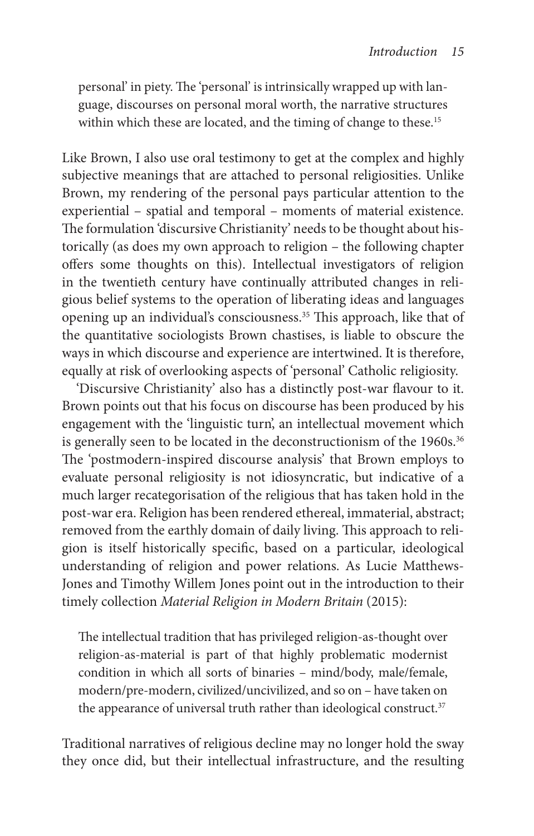personal' in piety. The 'personal' is intrinsically wrapped up with language, discourses on personal moral worth, the narrative structures within which these are located, and the timing of change to these.<sup>15</sup>

 Like Brown, I also use oral testimony to get at the complex and highly subjective meanings that are attached to personal religiosities. Unlike Brown, my rendering of the personal pays particular attention to the experiential – spatial and temporal – moments of material existence. The formulation 'discursive Christianity' needs to be thought about historically (as does my own approach to religion – the following chapter offers some thoughts on this). Intellectual investigators of religion in the twentieth century have continually attributed changes in religious belief systems to the operation of liberating ideas and languages opening up an individual's consciousness.<sup>35</sup> This approach, like that of the quantitative sociologists Brown chastises, is liable to obscure the ways in which discourse and experience are intertwined. It is therefore, equally at risk of overlooking aspects of 'personal' Catholic religiosity.

'Discursive Christianity' also has a distinctly post-war flavour to it. Brown points out that his focus on discourse has been produced by his engagement with the 'linguistic turn', an intellectual movement which is generally seen to be located in the deconstructionism of the 1960s.<sup>36</sup> The 'postmodern-inspired discourse analysis' that Brown employs to evaluate personal religiosity is not idiosyncratic, but indicative of a much larger recategorisation of the religious that has taken hold in the post- war era. Religion has been rendered ethereal, immaterial, abstract; removed from the earthly domain of daily living. This approach to religion is itself historically specific, based on a particular, ideological understanding of religion and power relations. As Lucie Matthews-Jones and Timothy Willem Jones point out in the introduction to their timely collection *Material Religion in Modern Britain* (2015):

The intellectual tradition that has privileged religion-as-thought over religion- as- material is part of that highly problematic modernist condition in which all sorts of binaries - mind/body, male/female, modern/ pre- modern, civilized/ uncivilized, and so on – have taken on the appearance of universal truth rather than ideological construct.<sup>37</sup>

 Traditional narratives of religious decline may no longer hold the sway they once did, but their intellectual infrastructure, and the resulting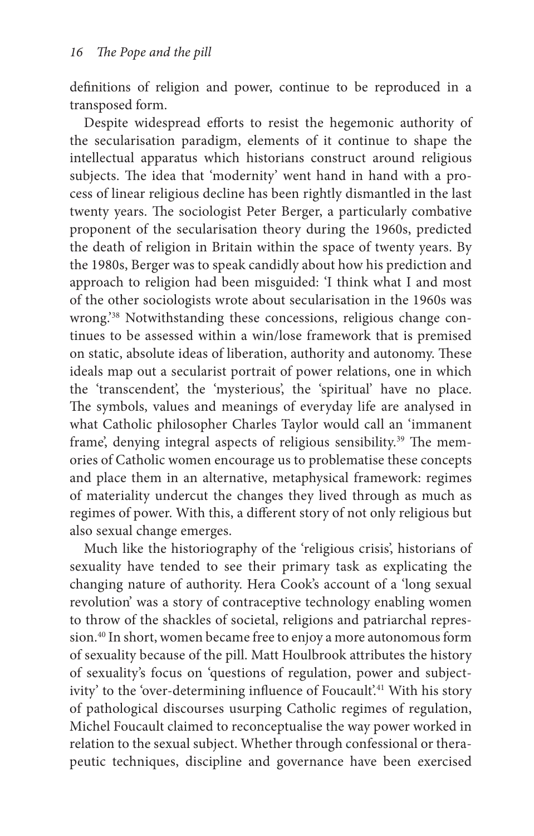definitions of religion and power, continue to be reproduced in a transposed form.

Despite widespread efforts to resist the hegemonic authority of the secularisation paradigm, elements of it continue to shape the intellectual apparatus which historians construct around religious subjects. The idea that 'modernity' went hand in hand with a process of linear religious decline has been rightly dismantled in the last twenty years. The sociologist Peter Berger, a particularly combative proponent of the secularisation theory during the 1960s, predicted the death of religion in Britain within the space of twenty years. By the 1980s, Berger was to speak candidly about how his prediction and approach to religion had been misguided: 'I think what I and most of the other sociologists wrote about secularisation in the 1960s was wrong.<sup>'38</sup> Notwithstanding these concessions, religious change continues to be assessed within a win/lose framework that is premised on static, absolute ideas of liberation, authority and autonomy. These ideals map out a secularist portrait of power relations, one in which the 'transcendent', the 'mysterious', the 'spiritual' have no place. The symbols, values and meanings of everyday life are analysed in what Catholic philosopher Charles Taylor would call an 'immanent frame', denying integral aspects of religious sensibility.<sup>39</sup> The memories of Catholic women encourage us to problematise these concepts and place them in an alternative, metaphysical framework: regimes of materiality undercut the changes they lived through as much as regimes of power. With this, a different story of not only religious but also sexual change emerges.

 Much like the historiography of the 'religious crisis', historians of sexuality have tended to see their primary task as explicating the changing nature of authority. Hera Cook's account of a 'long sexual revolution' was a story of contraceptive technology enabling women to throw of the shackles of societal, religions and patriarchal repression. 40 In short, women became free to enjoy a more autonomous form of sexuality because of the pill. Matt Houlbrook attributes the history of sexuality's focus on 'questions of regulation, power and subjectivity' to the 'over-determining influence of Foucault'.<sup>41</sup> With his story of pathological discourses usurping Catholic regimes of regulation, Michel Foucault claimed to reconceptualise the way power worked in relation to the sexual subject. Whether through confessional or therapeutic techniques, discipline and governance have been exercised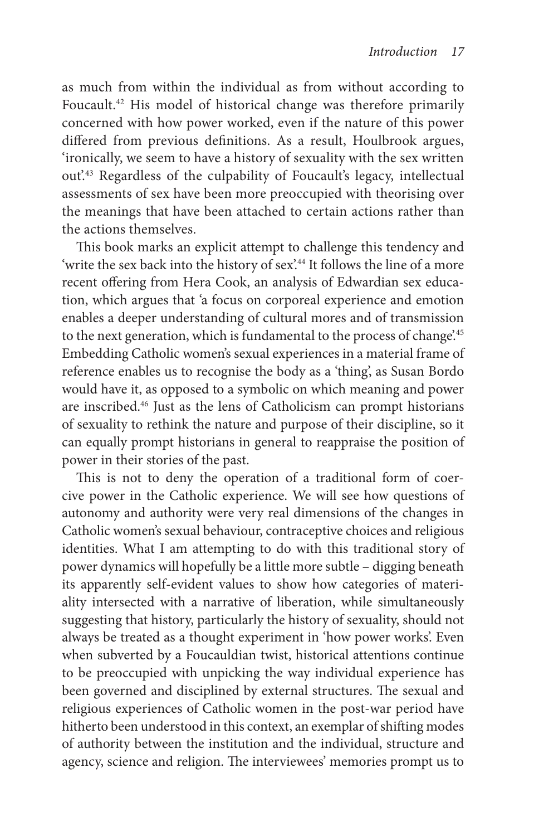as much from within the individual as from without according to Foucault.<sup>42</sup> His model of historical change was therefore primarily concerned with how power worked, even if the nature of this power differed from previous definitions. As a result, Houlbrook argues, 'ironically, we seem to have a history of sexuality with the sex written out<sup>243</sup> Regardless of the culpability of Foucault's legacy, intellectual assessments of sex have been more preoccupied with theorising over the meanings that have been attached to certain actions rather than the actions themselves.

This book marks an explicit attempt to challenge this tendency and 'write the sex back into the history of sex'.<sup>44</sup> It follows the line of a more recent offering from Hera Cook, an analysis of Edwardian sex education, which argues that 'a focus on corporeal experience and emotion enables a deeper understanding of cultural mores and of transmission to the next generation, which is fundamental to the process of change.<sup>45</sup> Embedding Catholic women's sexual experiences in a material frame of reference enables us to recognise the body as a 'thing', as Susan Bordo would have it, as opposed to a symbolic on which meaning and power are inscribed. 46 Just as the lens of Catholicism can prompt historians of sexuality to rethink the nature and purpose of their discipline, so it can equally prompt historians in general to reappraise the position of power in their stories of the past.

This is not to deny the operation of a traditional form of coercive power in the Catholic experience. We will see how questions of autonomy and authority were very real dimensions of the changes in Catholic women's sexual behaviour, contraceptive choices and religious identities. What I am attempting to do with this traditional story of power dynamics will hopefully be a little more subtle – digging beneath its apparently self-evident values to show how categories of materiality intersected with a narrative of liberation, while simultaneously suggesting that history, particularly the history of sexuality, should not always be treated as a thought experiment in 'how power works'. Even when subverted by a Foucauldian twist, historical attentions continue to be preoccupied with unpicking the way individual experience has been governed and disciplined by external structures. The sexual and religious experiences of Catholic women in the post-war period have hitherto been understood in this context, an exemplar of shifting modes of authority between the institution and the individual, structure and agency, science and religion. The interviewees' memories prompt us to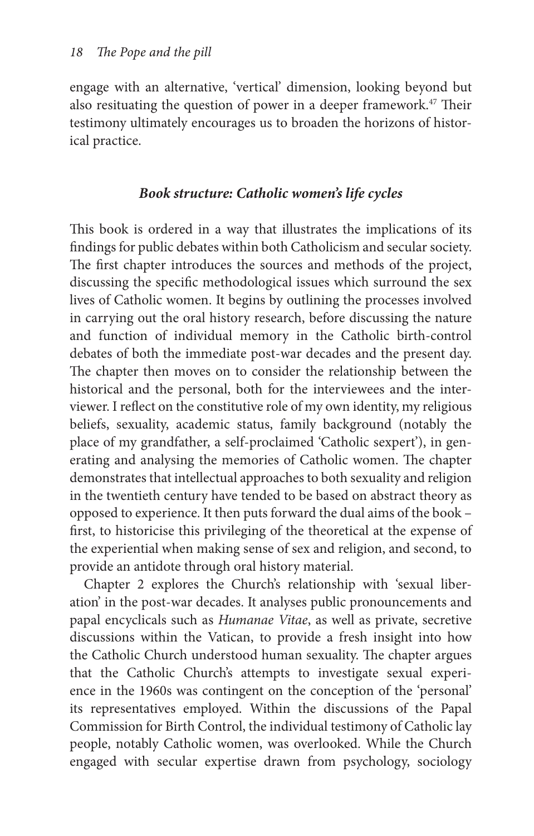engage with an alternative, 'vertical' dimension, looking beyond but also resituating the question of power in a deeper framework.<sup>47</sup> Their testimony ultimately encourages us to broaden the horizons of historical practice.

## *Book structure: Catholic women's life cycles*

This book is ordered in a way that illustrates the implications of its findings for public debates within both Catholicism and secular society. The first chapter introduces the sources and methods of the project, discussing the specific methodological issues which surround the sex lives of Catholic women. It begins by outlining the processes involved in carrying out the oral history research, before discussing the nature and function of individual memory in the Catholic birth-control debates of both the immediate post-war decades and the present day. The chapter then moves on to consider the relationship between the historical and the personal, both for the interviewees and the interviewer. I reflect on the constitutive role of my own identity, my religious beliefs, sexuality, academic status, family background (notably the place of my grandfather, a self- proclaimed 'Catholic sexpert'), in generating and analysing the memories of Catholic women. The chapter demonstrates that intellectual approaches to both sexuality and religion in the twentieth century have tended to be based on abstract theory as opposed to experience. It then puts forward the dual aims of the book – first, to historicise this privileging of the theoretical at the expense of the experiential when making sense of sex and religion, and second, to provide an antidote through oral history material.

 Chapter 2 explores the Church's relationship with 'sexual liberation' in the post- war decades. It analyses public pronouncements and papal encyclicals such as *Humanae Vitae* , as well as private, secretive discussions within the Vatican, to provide a fresh insight into how the Catholic Church understood human sexuality. The chapter argues that the Catholic Church's attempts to investigate sexual experience in the 1960s was contingent on the conception of the 'personal' its representatives employed. Within the discussions of the Papal Commission for Birth Control, the individual testimony of Catholic lay people, notably Catholic women, was overlooked. While the Church engaged with secular expertise drawn from psychology, sociology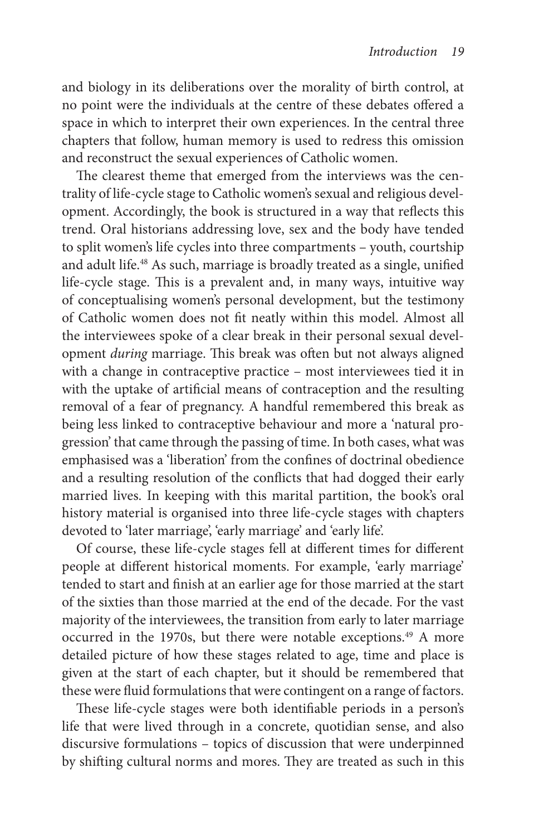and biology in its deliberations over the morality of birth control, at no point were the individuals at the centre of these debates offered a space in which to interpret their own experiences. In the central three chapters that follow, human memory is used to redress this omission and reconstruct the sexual experiences of Catholic women.

The clearest theme that emerged from the interviews was the centrality of life-cycle stage to Catholic women's sexual and religious development. Accordingly, the book is structured in a way that reflects this trend. Oral historians addressing love, sex and the body have tended to split women's life cycles into three compartments – youth, courtship and adult life.<sup>48</sup> As such, marriage is broadly treated as a single, unified life-cycle stage. This is a prevalent and, in many ways, intuitive way of conceptualising women's personal development, but the testimony of Catholic women does not fi t neatly within this model. Almost all the interviewees spoke of a clear break in their personal sexual development *during* marriage. This break was often but not always aligned with a change in contraceptive practice – most interviewees tied it in with the uptake of artificial means of contraception and the resulting removal of a fear of pregnancy. A handful remembered this break as being less linked to contraceptive behaviour and more a 'natural progression' that came through the passing of time. In both cases, what was emphasised was a 'liberation' from the confines of doctrinal obedience and a resulting resolution of the conflicts that had dogged their early married lives. In keeping with this marital partition, the book's oral history material is organised into three life-cycle stages with chapters devoted to 'later marriage', 'early marriage' and 'early life'.

Of course, these life-cycle stages fell at different times for different people at different historical moments. For example, 'early marriage' tended to start and finish at an earlier age for those married at the start of the sixties than those married at the end of the decade. For the vast majority of the interviewees, the transition from early to later marriage occurred in the 1970s, but there were notable exceptions.<sup>49</sup> A more detailed picture of how these stages related to age, time and place is given at the start of each chapter, but it should be remembered that these were fluid formulations that were contingent on a range of factors.

These life-cycle stages were both identifiable periods in a person's life that were lived through in a concrete, quotidian sense, and also discursive formulations – topics of discussion that were underpinned by shifting cultural norms and mores. They are treated as such in this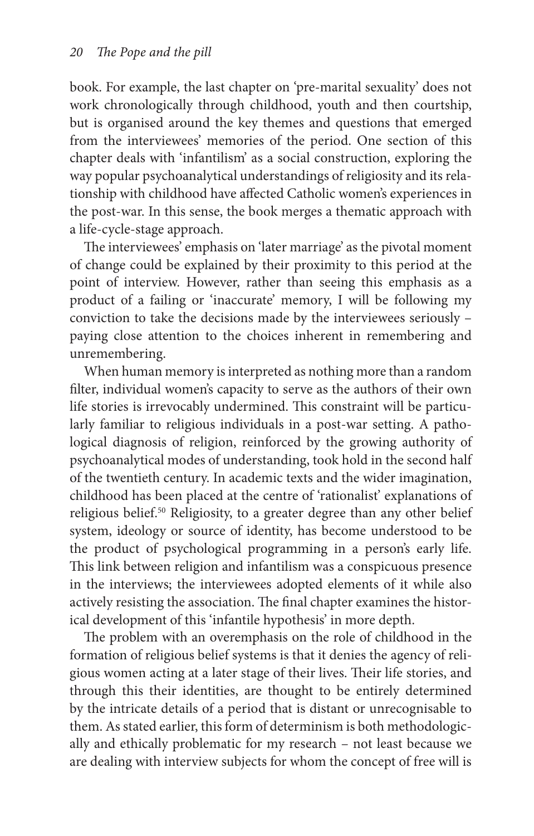book. For example, the last chapter on 'pre- marital sexuality' does not work chronologically through childhood, youth and then courtship, but is organised around the key themes and questions that emerged from the interviewees' memories of the period. One section of this chapter deals with 'infantilism' as a social construction, exploring the way popular psychoanalytical understandings of religiosity and its relationship with childhood have affected Catholic women's experiences in the post-war. In this sense, the book merges a thematic approach with a life-cycle-stage approach.

The interviewees' emphasis on 'later marriage' as the pivotal moment of change could be explained by their proximity to this period at the point of interview. However, rather than seeing this emphasis as a product of a failing or 'inaccurate' memory, I will be following my conviction to take the decisions made by the interviewees seriously – paying close attention to the choices inherent in remembering and unremembering.

 When human memory is interpreted as nothing more than a random filter, individual women's capacity to serve as the authors of their own life stories is irrevocably undermined. This constraint will be particularly familiar to religious individuals in a post-war setting. A pathological diagnosis of religion, reinforced by the growing authority of psychoanalytical modes of understanding, took hold in the second half of the twentieth century. In academic texts and the wider imagination, childhood has been placed at the centre of 'rationalist' explanations of religious belief.<sup>50</sup> Religiosity, to a greater degree than any other belief system, ideology or source of identity, has become understood to be the product of psychological programming in a person's early life. This link between religion and infantilism was a conspicuous presence in the interviews; the interviewees adopted elements of it while also actively resisting the association. The final chapter examines the historical development of this 'infantile hypothesis' in more depth.

The problem with an overemphasis on the role of childhood in the formation of religious belief systems is that it denies the agency of religious women acting at a later stage of their lives. Their life stories, and through this their identities, are thought to be entirely determined by the intricate details of a period that is distant or unrecognisable to them. As stated earlier, this form of determinism is both methodologically and ethically problematic for my research – not least because we are dealing with interview subjects for whom the concept of free will is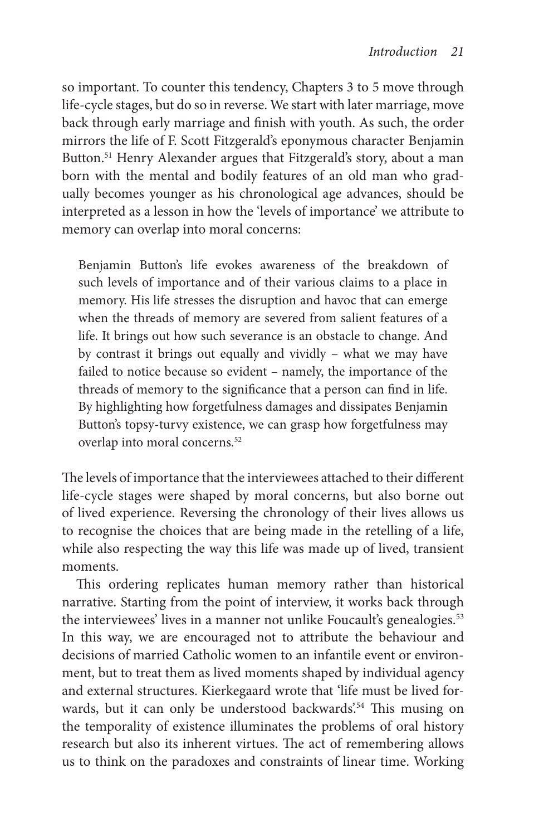so important. To counter this tendency, Chapters 3 to 5 move through life- cycle stages, but do so in reverse. We start with later marriage, move back through early marriage and finish with youth. As such, the order mirrors the life of F. Scott Fitzgerald's eponymous character Benjamin Button.<sup>51</sup> Henry Alexander argues that Fitzgerald's story, about a man born with the mental and bodily features of an old man who gradually becomes younger as his chronological age advances, should be interpreted as a lesson in how the 'levels of importance' we attribute to memory can overlap into moral concerns:

 Benjamin Button's life evokes awareness of the breakdown of such levels of importance and of their various claims to a place in memory. His life stresses the disruption and havoc that can emerge when the threads of memory are severed from salient features of a life. It brings out how such severance is an obstacle to change. And by contrast it brings out equally and vividly – what we may have failed to notice because so evident – namely, the importance of the threads of memory to the significance that a person can find in life. By highlighting how forgetfulness damages and dissipates Benjamin Button's topsy-turvy existence, we can grasp how forgetfulness may overlap into moral concerns. 52

The levels of importance that the interviewees attached to their different life- cycle stages were shaped by moral concerns, but also borne out of lived experience. Reversing the chronology of their lives allows us to recognise the choices that are being made in the retelling of a life, while also respecting the way this life was made up of lived, transient moments.

This ordering replicates human memory rather than historical narrative. Starting from the point of interview, it works back through the interviewees' lives in a manner not unlike Foucault's genealogies.<sup>53</sup> In this way, we are encouraged not to attribute the behaviour and decisions of married Catholic women to an infantile event or environment, but to treat them as lived moments shaped by individual agency and external structures. Kierkegaard wrote that 'life must be lived forwards, but it can only be understood backwards'.<sup>54</sup> This musing on the temporality of existence illuminates the problems of oral history research but also its inherent virtues. The act of remembering allows us to think on the paradoxes and constraints of linear time. Working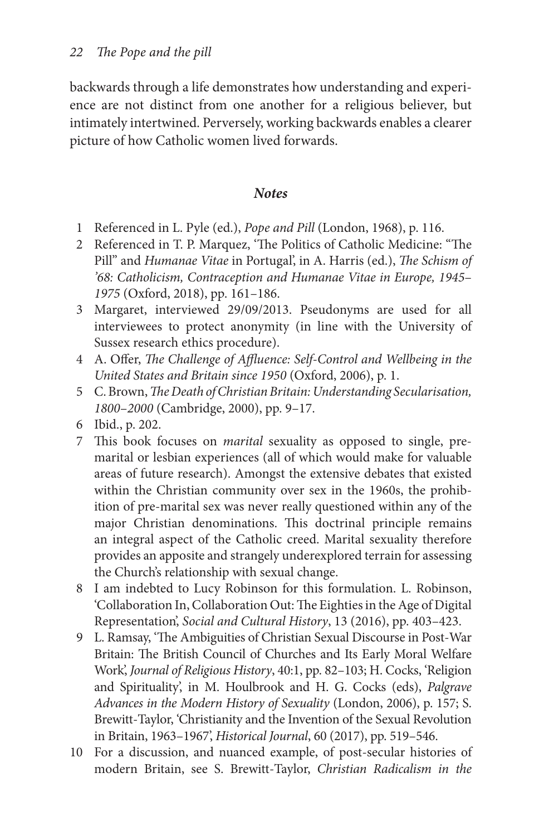backwards through a life demonstrates how understanding and experience are not distinct from one another for a religious believer, but intimately intertwined. Perversely, working backwards enables a clearer picture of how Catholic women lived forwards.

#### *Notes*

- 1 Referenced in L. Pyle (ed.), *Pope and Pill* (London, 1968), p. 116.
- 2 Referenced in T. P. Marquez, 'The Politics of Catholic Medicine: "The Pill" and *Humanae Vitae* in Portugal', in A. Harris (ed.), *The Schism of '68: Catholicism, Contraception and Humanae Vitae in Europe, 1945* – 1975<sup></sup> (Oxford, 2018), pp. 161-186.
- 3 Margaret, interviewed 29/09/2013. Pseudonyms are used for all interviewees to protect anonymity (in line with the University of Sussex research ethics procedure).
- 4 A. Offer, *The Challenge of Affluence: Self-Control and Wellbeing in the* United States and Britain since 1950 (Oxford, 2006), p. 1.
- 5 C. Brown, *The Death of Christian Britain: Understanding Secularisation*, 1800-2000 (Cambridge, 2000), pp. 9-17.
- 6 Ibid., p. 202.
- 7 This book focuses on *marital* sexuality as opposed to single, premarital or lesbian experiences (all of which would make for valuable areas of future research). Amongst the extensive debates that existed within the Christian community over sex in the 1960s, the prohibition of pre- marital sex was never really questioned within any of the major Christian denominations. This doctrinal principle remains an integral aspect of the Catholic creed. Marital sexuality therefore provides an apposite and strangely underexplored terrain for assessing the Church's relationship with sexual change.
- 8 I am indebted to Lucy Robinson for this formulation. L. Robinson, 'Collaboration In, Collaboration Out: The Eighties in the Age of Digital Representation, *Social and Cultural History*, 13 (2016), pp. 403-423.
- 9 L. Ramsay, 'The Ambiguities of Christian Sexual Discourse in Post-War Britain: The British Council of Churches and Its Early Moral Welfare Work', *Journal of Religious History*, 40:1, pp. 82-103; H. Cocks, 'Religion and Spirituality', in M. Houlbrook and H. G. Cocks (eds), *Palgrave* Advances in the Modern History of Sexuality (London, 2006), p. 157; S. Brewitt-Taylor, 'Christianity and the Invention of the Sexual Revolution in Britain, 1963-1967', *Historical Journal*, 60 (2017), pp. 519-546.
- 10 For a discussion, and nuanced example, of post- secular histories of modern Britain, see S. Brewitt- Taylor , *Christian Radicalism in the*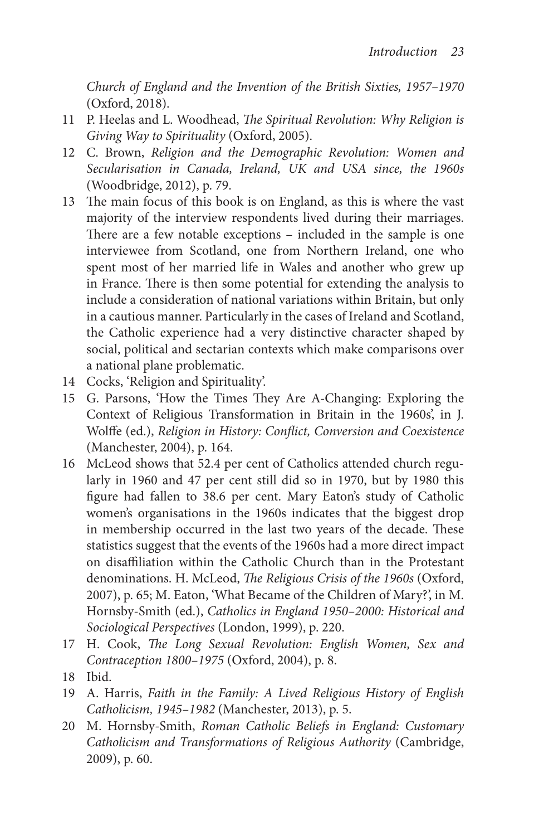*Church of England and the Invention of the British Sixties, 1957– 1970* (Oxford, 2018).

- 11 P. Heelas and L. Woodhead, *The Spiritual Revolution: Why Religion is Giving Way to Spirituality* (Oxford, 2005).
- 12 C. Brown, *Religion and the Demographic Revolution: Women and Secularisation in Canada, Ireland, UK and USA since, the 1960s* ( Woodbridge, 2012), p. 79.
- 13 The main focus of this book is on England, as this is where the vast majority of the interview respondents lived during their marriages. There are a few notable exceptions – included in the sample is one interviewee from Scotland, one from Northern Ireland, one who spent most of her married life in Wales and another who grew up in France. There is then some potential for extending the analysis to include a consideration of national variations within Britain, but only in a cautious manner. Particularly in the cases of Ireland and Scotland, the Catholic experience had a very distinctive character shaped by social, political and sectarian contexts which make comparisons over a national plane problematic.
- 14 Cocks, 'Religion and Spirituality'.
- 15 G. Parsons, 'How the Times They Are A-Changing: Exploring the Context of Religious Transformation in Britain in the 1960s, in J. Wolffe (ed.), *Religion in History: Conflict, Conversion and Coexistence* (Manchester, 2004), p. 164.
- 16 McLeod shows that 52.4 per cent of Catholics attended church regularly in 1960 and 47 per cent still did so in 1970, but by 1980 this figure had fallen to 38.6 per cent. Mary Eaton's study of Catholic women's organisations in the 1960s indicates that the biggest drop in membership occurred in the last two years of the decade. These statistics suggest that the events of the 1960s had a more direct impact on disaffiliation within the Catholic Church than in the Protestant denominations. H. McLeod, *The Religious Crisis of the 1960s* (Oxford, 2007), p. 65; M. Eaton, 'What Became of the Children of Mary?', in M. Hornsby- Smith (ed.), *Catholics in England 1950– 2000: Historical and*  Sociological Perspectives (London, 1999), p. 220.
- 17 H. Cook, *The Long Sexual Revolution: English Women*, Sex and Contraception 1800-1975 (Oxford, 2004), p. 8.
- 18 Ibid.
- 19 A. Harris, *Faith in the Family: A Lived Religious History of English* Catholicism, 1945-1982 (Manchester, 2013), p. 5.
- 20 M. Hornsby-Smith, *Roman Catholic Beliefs in England: Customary* Catholicism and Transformations of Religious Authority (Cambridge, 2009), p. 60.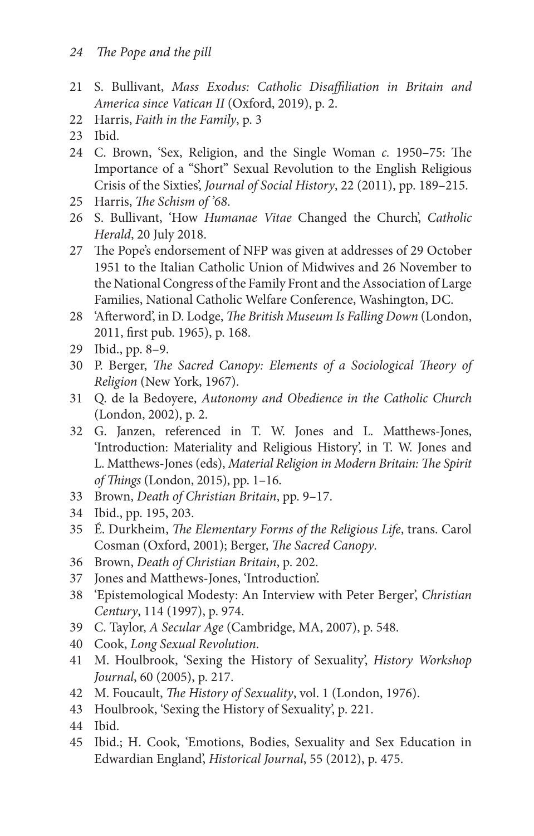- 21 S. Bullivant, Mass Exodus: Catholic Disaffiliation in Britain and *America since Vatican II* (Oxford, 2019), p. 2.
- 22 Harris, *Faith in the Family* , p. 3
- 23 Ibid.
- 24 C. Brown, 'Sex, Religion, and the Single Woman *c*. 1950–75: The Importance of a "Short" Sexual Revolution to the English Religious Crisis of the Sixties', *Journal of Social History*, 22 (2011), pp. 189-215.
- 25 Harris, *The Schism of '68*.
- 26 S. Bullivant, 'How *Humanae Vitae* Changed the Church', *Catholic Herald* , 20 July 2018.
- 27 The Pope's endorsement of NFP was given at addresses of 29 October 1951 to the Italian Catholic Union of Midwives and 26 November to the National Congress of the Family Front and the Association of Large Families, National Catholic Welfare Conference, Washington, DC.
- 28 'Afterword', in D. Lodge, *The British Museum Is Falling Down* (London, 2011, first pub. 1965), p. 168.
- 29 Ibid., pp. 8–9.
- 30 P. Berger, *The Sacred Canopy: Elements of a Sociological Theory of Religion* (New York, 1967).
- 31 Q. de la Bedoyere, *Autonomy and Obedience in the Catholic Church* (London, 2002), p. 2.
- 32 G. Janzen, referenced in T. W . Jones and L. Matthews- Jones , 'Introduction: Materiality and Religious History', in T. W. Jones and L. Matthews-Jones (eds), *Material Religion in Modern Britain: The Spirit of Things* (London, 2015), pp. 1-16.
- 33 Brown, *Death of Christian Britain* , pp. 9– 17.
- 34 Ibid., pp. 195, 203.
- 35 É. Durkheim, *The Elementary Forms of the Religious Life*, trans. Carol Cosman (Oxford, 2001); Berger, *The Sacred Canopy*.
- 36 Brown, *Death of Christian Britain* , p. 202.
- 37 Jones and Matthews- Jones, 'Introduction'.
- 38 'Epistemological Modesty: An Interview with Peter Berger', *Christian Century* , 114 (1997), p. 974.
- 39 C. Taylor, *A Secular Age* (Cambridge, MA, 2007), p. 548.
- 40 Cook, *Long Sexual Revolution* .
- 41 M. Houlbrook, 'Sexing the History of Sexuality', *History Workshop Journal*, 60 (2005), p. 217.
- 42 M. Foucault, *The History of Sexuality*, vol. 1 (London, 1976).
- 43 Houlbrook, 'Sexing the History of Sexuality', p. 221.
- 44 Ibid.
- 45 Ibid.; H. Cook, 'Emotions, Bodies, Sexuality and Sex Education in Edwardian England', *Historical Journal*, 55 (2012), p. 475.